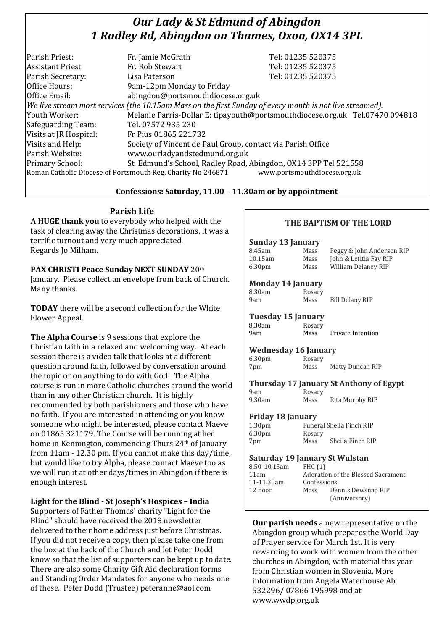# *Our Lady & St Edmund of Abingdon 1 Radley Rd, Abingdon on Thames, Oxon, OX14 3PL*

| Parish Priest:          | Fr. Jamie McGrath                                                                                        | Tel: 01235 520375                                                            |
|-------------------------|----------------------------------------------------------------------------------------------------------|------------------------------------------------------------------------------|
| <b>Assistant Priest</b> | Fr. Rob Stewart                                                                                          | Tel: 01235 520375                                                            |
| Parish Secretary:       | Lisa Paterson                                                                                            | Tel: 01235 520375                                                            |
| Office Hours:           | 9am-12pm Monday to Friday                                                                                |                                                                              |
| Office Email:           | abingdon@portsmouthdiocese.org.uk                                                                        |                                                                              |
|                         | We live stream most services (the 10.15am Mass on the first Sunday of every month is not live streamed). |                                                                              |
| Youth Worker:           |                                                                                                          | Melanie Parris-Dollar E: tipayouth@portsmouthdiocese.org.uk Tel.07470 094818 |
| Safeguarding Team:      | Tel. 07572 935 230                                                                                       |                                                                              |
| Visits at JR Hospital:  | Fr Pius 01865 221732                                                                                     |                                                                              |
| Visits and Help:        | Society of Vincent de Paul Group, contact via Parish Office                                              |                                                                              |
| Parish Website:         | www.ourladyandstedmund.org.uk                                                                            |                                                                              |
| Primary School:         | St. Edmund's School, Radley Road, Abingdon, OX14 3PP Tel 521558                                          |                                                                              |
|                         | Roman Catholic Diocese of Portsmouth Reg. Charity No 246871                                              | www.portsmouthdiocese.org.uk                                                 |

## **Confessions: Saturday, 11.00 – 11.30am or by appointment**

## **Parish Life**

**A HUGE thank you** to everybody who helped with the task of clearing away the Christmas decorations. It was a terrific turnout and very much appreciated. Regards Jo Milham.

**PAX CHRISTI Peace Sunday NEXT SUNDAY** 20th January. Please collect an envelope from back of Church. Many thanks.

**TODAY** there will be a second collection for the White Flower Appeal.

**The Alpha Course** is 9 sessions that explore the Christian faith in a relaxed and welcoming way. At each session there is a video talk that looks at a different question around faith, followed by conversation around the topic or on anything to do with God! The Alpha course is run in more Catholic churches around the world than in any other Christian church. It is highly recommended by both parishioners and those who have no faith. If you are interested in attending or you know someone who might be interested, please contact Maeve on 01865 321179. The Course will be running at her home in Kennington, commencing Thurs 24th of January from 11am - 12.30 pm. If you cannot make this day/time, but would like to try Alpha, please contact Maeve too as we will run it at other days/times in Abingdon if there is enough interest.

## **Light for the Blind - St Joseph's Hospices – India**

Supporters of Father Thomas' charity "Light for the Blind" should have received the 2018 newsletter delivered to their home address just before Christmas. If you did not receive a copy, then please take one from the box at the back of the Church and let Peter Dodd know so that the list of supporters can be kept up to date. There are also some Charity Gift Aid declaration forms and Standing Order Mandates for anyone who needs one of these. Peter Dodd (Trustee) peteranne@aol.com

## **THE BAPTISM OF THE LORD**

#### **Sunday 13 January** 8.45am Mass Peggy & John Anderson RIP 10.15am Mass John & Letitia Fay RIP 6.30pm Mass William Delaney RIP

#### **Monday 14 January**

| 8.30am |  | Rosary |
|--------|--|--------|
| 9am    |  | Mass   |
|        |  |        |

Mass Bill Delany RIP

## **Tuesday 15 January**

| 8.30am | Rosary |                   |
|--------|--------|-------------------|
| 9am    | Mass   | Private Intention |

## **Wednesday 16 January**

| 6.30 <sub>pm</sub> | Rosary |                  |
|--------------------|--------|------------------|
| 7pm                | Mass   | Matty Duncan RIP |

#### **Thursday 17 January St Anthony of Egypt**

| 9am    | Rosary |                 |
|--------|--------|-----------------|
| 9.30am | Mass   | Rita Murphy RIP |

#### **Friday 18 January**

| 1.30 <sub>pm</sub> |        | Funeral Sheila Finch RIP |
|--------------------|--------|--------------------------|
| 6.30 <sub>pm</sub> | Rosary |                          |
| 7pm                | Mass   | Sheila Finch RIP         |
|                    |        |                          |

#### **Saturday 19 January St Wulstan**

| 8.50-10.15am | FHC $(1)$                          |                    |
|--------------|------------------------------------|--------------------|
| 11am         | Adoration of the Blessed Sacrament |                    |
| 11-11.30am   | Confessions                        |                    |
| 12 noon      | Mass                               | Dennis Dewsnap RIP |
|              |                                    | (Anniversary)      |
|              |                                    |                    |

**Our parish needs** a new representative on the Abingdon group which prepares the World Day of Prayer service for March 1st. It is very rewarding to work with women from the other churches in Abingdon, with material this year from Christian women in Slovenia. More information from Angela Waterhouse Ab 532296/ 07866 195998 and at www.wwdp.org.uk